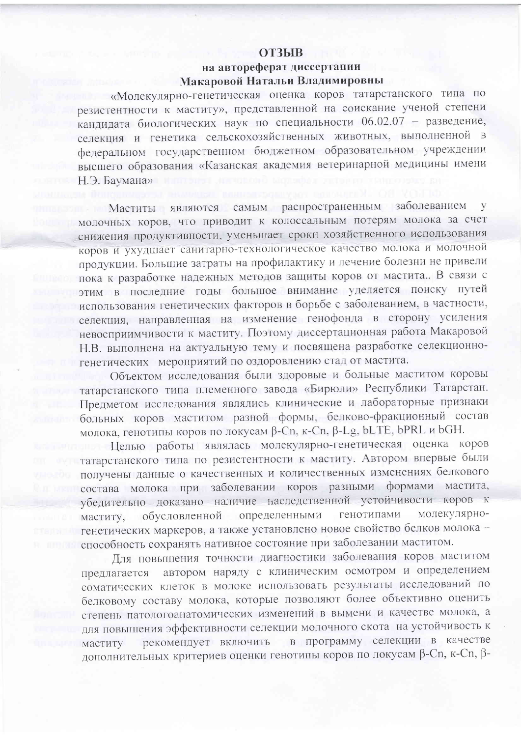## **ОТЗЫВ**

## на автореферат диссертации Макаровой Натальи Владимировны

«Молекулярно-генетическая оценка коров татарстанского типа по резистентности к маститу», представленной на соискание ученой степени кандидата биологических наук по специальности 06.02.07 - разведение, селекция и генетика сельскохозяйственных животных, выполненной в федеральном государственном бюджетном образовательном учреждении высшего образования «Казанская академия ветеринарной медицины имени Н.Э. Баумана»

Маститы являются самым распространенным заболеванием V молочных коров, что приводит к колоссальным потерям молока за счет снижения продуктивности, уменьшает сроки хозяйственного использования коров и ухудшает санитарно-технологическое качество молока и молочной продукции. Большие затраты на профилактику и лечение болезни не привели пока к разработке надежных методов защиты коров от мастита. В связи с этим в последние годы большое внимание уделяется поиску путей использования генетических факторов в борьбе с заболеванием, в частности, селекция, направленная на изменение генофонда в сторону усиления невосприимчивости к маститу. Поэтому диссертационная работа Макаровой Н.В. выполнена на актуальную тему и посвящена разработке селекционногенетических мероприятий по оздоровлению стад от мастита.

Объектом исследования были здоровые и больные маститом коровы татарстанского типа племенного завода «Бирюли» Республики Татарстан. Предметом исследования являлись клинические и лабораторные признаки больных коров маститом разной формы, белково-фракционный состав молока, генотипы коров по локусам  $\beta$ -Cn, к-Cn,  $\beta$ -Lg, bLTE, bPRL и bGH.

Целью работы являлась молекулярно-генетическая оценка коров татарстанского типа по резистентности к маститу. Автором впервые были получены данные о качественных и количественных изменениях белкового состава молока при заболевании коров разными формами мастита, убедительно доказано наличие наследственной устойчивости коров к определенными генотипами молекулярнообусловленной маститу, генетических маркеров, а также установлено новое свойство белков молока способность сохранять нативное состояние при заболевании маститом.

Для повышения точности диагностики заболевания коров маститом автором наряду с клиническим осмотром и определением предлагается соматических клеток в молоке использовать результаты исследований по белковому составу молока, которые позволяют более объективно оценить степень патологоанатомических изменений в вымени и качестве молока, а для повышения эффективности селекции молочного скота на устойчивость к рекомендует включить в программу селекции в качестве маститу дополнительных критериев оценки генотипы коров по локусам β-Cn, κ-Cn, β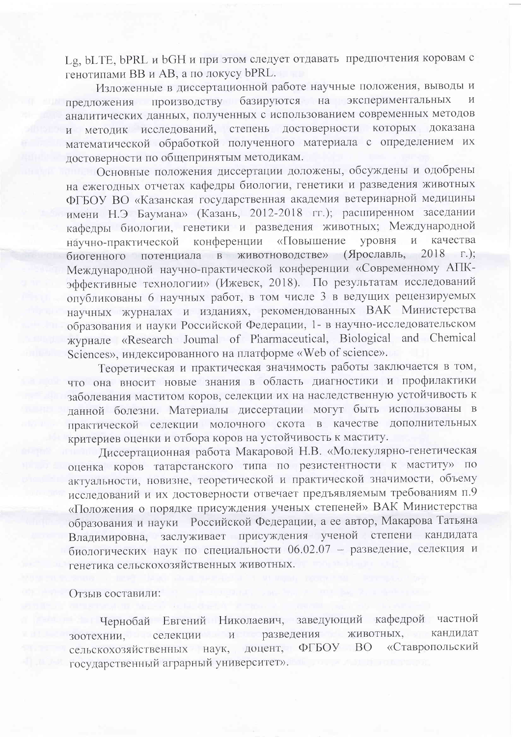Lg, bLTE, bPRL и bGH и при этом следует отдавать предпочтения коровам с генотипами ВВ и AB, а по локусу bPRL.

Изложенные в диссертационной работе научные положения, выводы и предложения производству базируются на экспериментальных  $\overline{M}$ аналитических данных, полученных с использованием современных методов и методик исследований, степень достоверности которых доказана математической обработкой полученного материала с определением их достоверности по общепринятым методикам.

Основные положения диссертации доложены, обсуждены и одобрены на ежегодных отчетах кафедры биологии, генетики и разведения животных ФГБОУ ВО «Казанская государственная академия ветеринарной медицины имени Н.Э Баумана» (Казань, 2012-2018 гг.); расширенном заседании кафедры биологии, генетики и разведения животных; Международной конференции «Повышение и кнаоду качества научно-практической биогенного потенциала в животноводстве» (Ярославль, 2018 г.); Международной научно-практической конференции «Современному АПКэффективные технологии» (Ижевск, 2018). По результатам исследований опубликованы 6 научных работ, в том числе 3 в ведущих рецензируемых научных журналах и изданиях, рекомендованных ВАК Министерства образования и науки Российской Федерации, 1- в научно-исследовательском журнале «Research Joumal of Pharmaceutical, Biological and Chemical Sciences», индексированного на платформе «Web of science».

Теоретическая и практическая значимость работы заключается в том, что она вносит новые знания в область диагностики и профилактики заболевания маститом коров, селекции их на наследственную устойчивость к данной болезни. Материалы диссертации могут быть использованы в практической селекции молочного скота в качестве дополнительных критериев оценки и отбора коров на устойчивость к маститу.

Диссертационная работа Макаровой Н.В. «Молекулярно-генетическая оценка коров татарстанского типа по резистентности к маститу» по актуальности, новизне, теоретической и практической значимости, объему исследований и их достоверности отвечает предъявляемым требованиям п.9 «Положения о порядке присуждения ученых степеней» ВАК Министерства образования и науки Российской Федерации, а ее автор, Макарова Татьяна Владимировна, заслуживает присуждения ученой степени кандидата биологических наук по специальности 06.02.07 - разведение, селекция и генетика сельскохозяйственных животных.

Отзыв составили:

Чернобай Евгений Николаевич, заведующий кафедрой частной животных, кандидат зоотехнии, селекции и разведения доцент, «Ставропольский сельскохозяйственных наук, ФГБОУ ВО государственный аграрный университет».